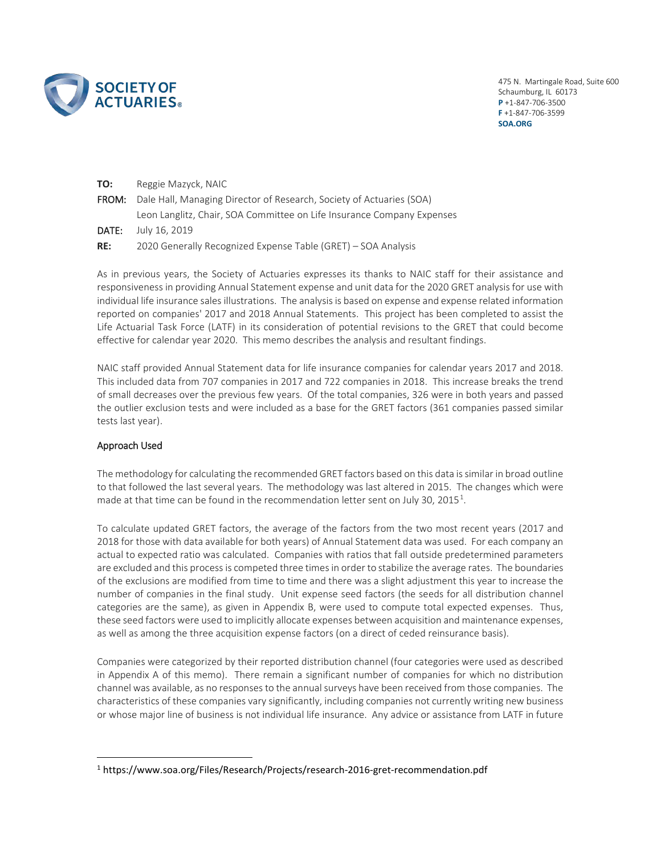

475 N. Martingale Road, Suite 600 Schaumburg, IL 60173 **P** +1-847-706-3500 **F** +1-847-706-3599 F +1-847-<br>SOA.ORG

| TO:   | Reggie Mazyck, NAIC                                                               |
|-------|-----------------------------------------------------------------------------------|
|       | <b>FROM:</b> Dale Hall, Managing Director of Research, Society of Actuaries (SOA) |
|       | Leon Langlitz, Chair, SOA Committee on Life Insurance Company Expenses            |
| DATE: | July 16, 2019                                                                     |
| RE:   | 2020 Generally Recognized Expense Table (GRET) – SOA Analysis                     |

As in previous years, the Society of Actuaries expresses its thanks to NAIC staff for their assistance and responsiveness in providing Annual Statement expense and unit data for the 2020 GRET analysis for use with individual life insurance sales illustrations. The analysis is based on expense and expense related information reported on companies' 2017 and 2018 Annual Statements. This project has been completed to assist the Life Actuarial Task Force (LATF) in its consideration of potential revisions to the GRET that could become effective for calendar year 2020. This memo describes the analysis and resultant findings.

NAIC staff provided Annual Statement data for life insurance companies for calendar years 2017 and 2018. This included data from 707 companies in 2017 and 722 companies in 2018. This increase breaks the trend of small decreases over the previous few years. Of the total companies, 326 were in both years and passed the outlier exclusion tests and were included as a base for the GRET factors (361 companies passed similar tests last year).

## Approach Used

l

The methodology for calculating the recommended GRET factors based on this data is similar in broad outline to that followed the last several years. The methodology was last altered in 2015. The changes which were made at that time can be found in the recommendation letter sent on July 30, 20[1](#page-0-0)5<sup>1</sup>.

To calculate updated GRET factors, the average of the factors from the two most recent years (2017 and 2018 for those with data available for both years) of Annual Statement data was used. For each company an actual to expected ratio was calculated. Companies with ratios that fall outside predetermined parameters are excluded and this process is competed three times in order to stabilize the average rates. The boundaries of the exclusions are modified from time to time and there was a slight adjustment this year to increase the number of companies in the final study. Unit expense seed factors (the seeds for all distribution channel categories are the same), as given in Appendix B, were used to compute total expected expenses. Thus, these seed factors were used to implicitly allocate expenses between acquisition and maintenance expenses, as well as among the three acquisition expense factors (on a direct of ceded reinsurance basis).

Companies were categorized by their reported distribution channel (four categories were used as described in Appendix A of this memo). There remain a significant number of companies for which no distribution channel was available, as no responses to the annual surveys have been received from those companies. The characteristics of these companies vary significantly, including companies not currently writing new business or whose major line of business is not individual life insurance. Any advice or assistance from LATF in future

<span id="page-0-0"></span><sup>1</sup> https://www.soa.org/Files/Research/Projects/research-2016-gret-recommendation.pdf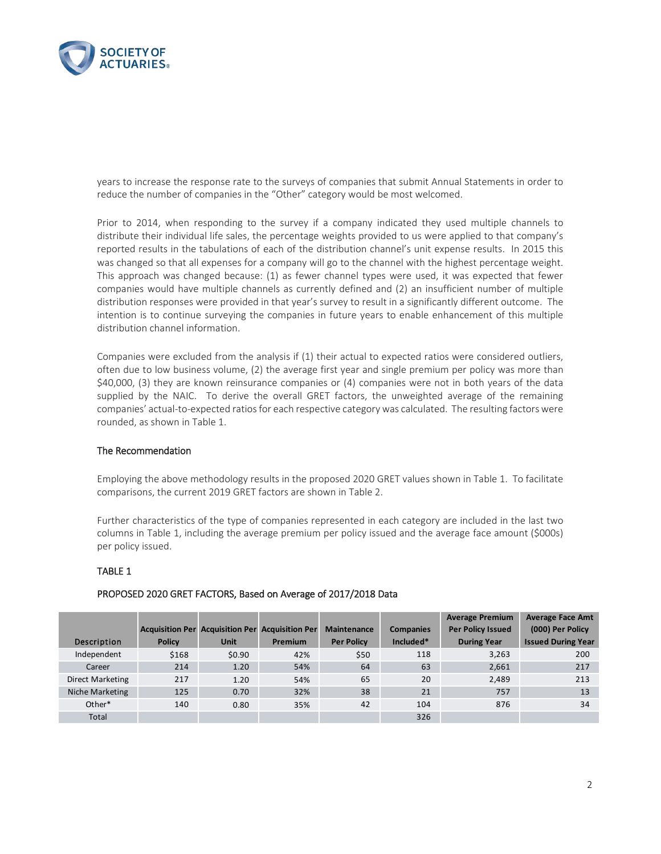

years to increase the response rate to the surveys of companies that submit Annual Statements in order to reduce the number of companies in the "Other" category would be most welcomed.

Prior to 2014, when responding to the survey if a company indicated they used multiple channels to distribute their individual life sales, the percentage weights provided to us were applied to that company's reported results in the tabulations of each of the distribution channel's unit expense results. In 2015 this was changed so that all expenses for a company will go to the channel with the highest percentage weight. This approach was changed because: (1) as fewer channel types were used, it was expected that fewer companies would have multiple channels as currently defined and (2) an insufficient number of multiple distribution responses were provided in that year's survey to result in a significantly different outcome. The intention is to continue surveying the companies in future years to enable enhancement of this multiple distribution channel information.

Companies were excluded from the analysis if (1) their actual to expected ratios were considered outliers, often due to low business volume, (2) the average first year and single premium per policy was more than \$40,000, (3) they are known reinsurance companies or (4) companies were not in both years of the data supplied by the NAIC. To derive the overall GRET factors, the unweighted average of the remaining companies' actual-to-expected ratios for each respective category was calculated. The resulting factors were rounded, as shown in Table 1.

#### The Recommendation

Employing the above methodology results in the proposed 2020 GRET values shown in Table 1. To facilitate comparisons, the current 2019 GRET factors are shown in Table 2.

Further characteristics of the type of companies represented in each category are included in the last two columns in Table 1, including the average premium per policy issued and the average face amount (\$000s) per policy issued.

#### TABLE 1

|                  |               |                                                        |                |                    |                  | <b>Average Premium</b>   | <b>Average Face Amt</b>   |
|------------------|---------------|--------------------------------------------------------|----------------|--------------------|------------------|--------------------------|---------------------------|
|                  |               | <b>Acquisition Per Acquisition Per Acquisition Per</b> |                | <b>Maintenance</b> | <b>Companies</b> | <b>Per Policy Issued</b> | (000) Per Policy          |
| Description      | <b>Policy</b> | <b>Unit</b>                                            | <b>Premium</b> | <b>Per Policy</b>  | Included*        | <b>During Year</b>       | <b>Issued During Year</b> |
| Independent      | \$168         | \$0.90                                                 | 42%            | \$50               | 118              | 3,263                    | 200                       |
| Career           | 214           | 1.20                                                   | 54%            | 64                 | 63               | 2,661                    | 217                       |
| Direct Marketing | 217           | 1.20                                                   | 54%            | 65                 | 20               | 2,489                    | 213                       |
| Niche Marketing  | 125           | 0.70                                                   | 32%            | 38                 | 21               | 757                      | 13                        |
| Other*           | 140           | 0.80                                                   | 35%            | 42                 | 104              | 876                      | 34                        |
| Total            |               |                                                        |                |                    | 326              |                          |                           |

## PROPOSED 2020 GRET FACTORS, Based on Average of 2017/2018 Data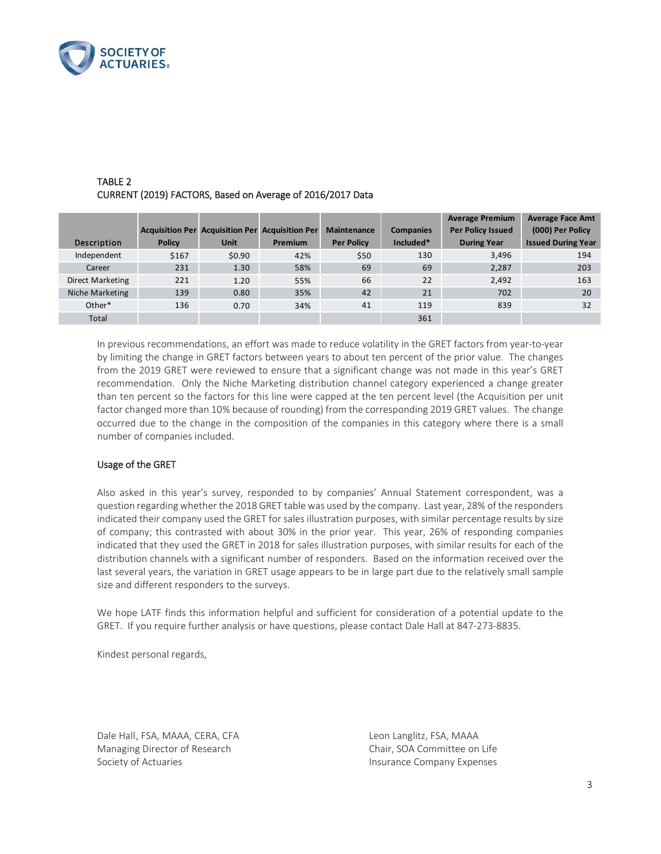

|                  |               |                                                        |                |                    |                  | <b>Average Premium</b>   | <b>Average Face Amt</b>   |
|------------------|---------------|--------------------------------------------------------|----------------|--------------------|------------------|--------------------------|---------------------------|
|                  |               | <b>Acquisition Per Acquisition Per Acquisition Per</b> |                | <b>Maintenance</b> | <b>Companies</b> | <b>Per Policy Issued</b> | (000) Per Policy          |
| Description      | <b>Policy</b> | <b>Unit</b>                                            | <b>Premium</b> | <b>Per Policy</b>  | Included*        | <b>During Year</b>       | <b>Issued During Year</b> |
| Independent      | \$167         | \$0.90                                                 | 42%            | \$50               | 130              | 3,496                    | 194                       |
| Career           | 231           | 1.30                                                   | 58%            | 69                 | 69               | 2,287                    | 203                       |
| Direct Marketing | 221           | 1.20                                                   | 55%            | 66                 | 22               | 2,492                    | 163                       |
| Niche Marketing  | 139           | 0.80                                                   | 35%            | 42                 | 21               | 702                      | 20                        |
| Other*           | 136           | 0.70                                                   | 34%            | 41                 | 119              | 839                      | 32                        |
| Total            |               |                                                        |                |                    | 361              |                          |                           |

## TABLE 2 CURRENT (2019) FACTORS, Based on Average of 2016/2017 Data

In previous recommendations, an effort was made to reduce volatility in the GRET factors from year-to-year by limiting the change in GRET factors between years to about ten percent of the prior value. The changes from the 2019 GRET were reviewed to ensure that a significant change was not made in this year's GRET recommendation. Only the Niche Marketing distribution channel category experienced a change greater than ten percent so the factors for this line were capped at the ten percent level (the Acquisition per unit factor changed more than 10% because of rounding) from the corresponding 2019 GRET values. The change occurred due to the change in the composition of the companies in this category where there is a small number of companies included.

## Usage of the GRET

Also asked in this year's survey, responded to by companies' Annual Statement correspondent, was a question regarding whether the 2018 GRET table was used by the company. Last year, 28% of the responders indicated their company used the GRET for sales illustration purposes, with similar percentage results by size of company; this contrasted with about 30% in the prior year. This year, 26% of responding companies indicated that they used the GRET in 2018 for sales illustration purposes, with similar results for each of the distribution channels with a significant number of responders. Based on the information received over the last several years, the variation in GRET usage appears to be in large part due to the relatively small sample size and different responders to the surveys.

We hope LATF finds this information helpful and sufficient for consideration of a potential update to the GRET. If you require further analysis or have questions, please contact Dale Hall at 847-273-8835.

Kindest personal regards,

Dale Hall, FSA, MAAA, CERA, CFA Leon Langlitz, FSA, MAAA Managing Director of Research Chair, SOA Committee on Life Society of Actuaries **Insurance Company Expenses**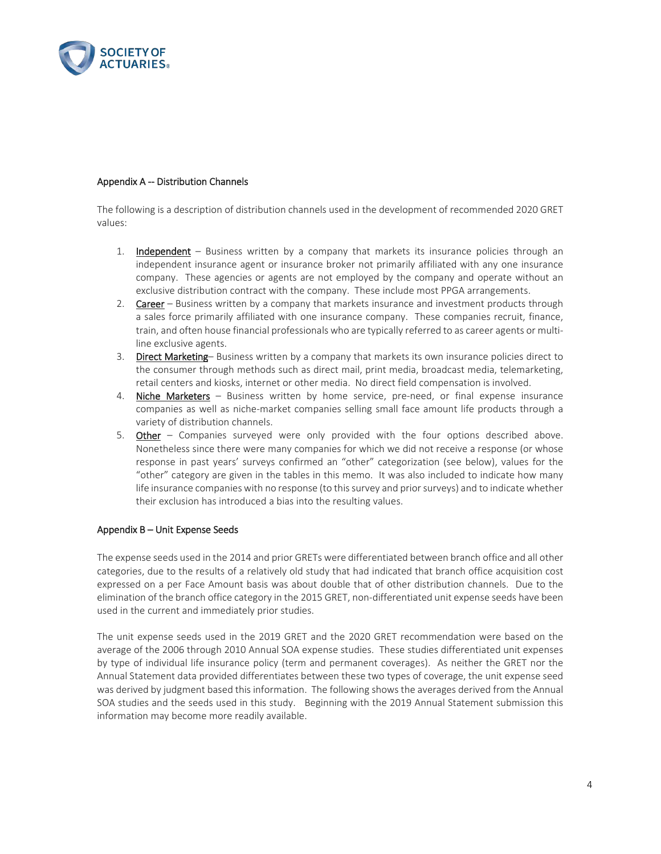

## Appendix A -- Distribution Channels

The following is a description of distribution channels used in the development of recommended 2020 GRET values:

- 1. Independent Business written by a company that markets its insurance policies through an independent insurance agent or insurance broker not primarily affiliated with any one insurance company. These agencies or agents are not employed by the company and operate without an exclusive distribution contract with the company. These include most PPGA arrangements.
- 2. Career Business written by a company that markets insurance and investment products through a sales force primarily affiliated with one insurance company. These companies recruit, finance, train, and often house financial professionals who are typically referred to as career agents or multiline exclusive agents.
- 3. Direct Marketing-Business written by a company that markets its own insurance policies direct to the consumer through methods such as direct mail, print media, broadcast media, telemarketing, retail centers and kiosks, internet or other media. No direct field compensation is involved.
- 4. Niche Marketers  $-$  Business written by home service, pre-need, or final expense insurance companies as well as niche-market companies selling small face amount life products through a variety of distribution channels.
- 5. Other Companies surveyed were only provided with the four options described above. Nonetheless since there were many companies for which we did not receive a response (or whose response in past years' surveys confirmed an "other" categorization (see below), values for the "other" category are given in the tables in this memo. It was also included to indicate how many life insurance companies with no response (to this survey and prior surveys) and to indicate whether their exclusion has introduced a bias into the resulting values.

## Appendix B – Unit Expense Seeds

The expense seeds used in the 2014 and prior GRETs were differentiated between branch office and all other categories, due to the results of a relatively old study that had indicated that branch office acquisition cost expressed on a per Face Amount basis was about double that of other distribution channels. Due to the elimination of the branch office category in the 2015 GRET, non-differentiated unit expense seeds have been used in the current and immediately prior studies.

The unit expense seeds used in the 2019 GRET and the 2020 GRET recommendation were based on the average of the 2006 through 2010 Annual SOA expense studies. These studies differentiated unit expenses by type of individual life insurance policy (term and permanent coverages). As neither the GRET nor the Annual Statement data provided differentiates between these two types of coverage, the unit expense seed was derived by judgment based this information. The following shows the averages derived from the Annual SOA studies and the seeds used in this study. Beginning with the 2019 Annual Statement submission this information may become more readily available.